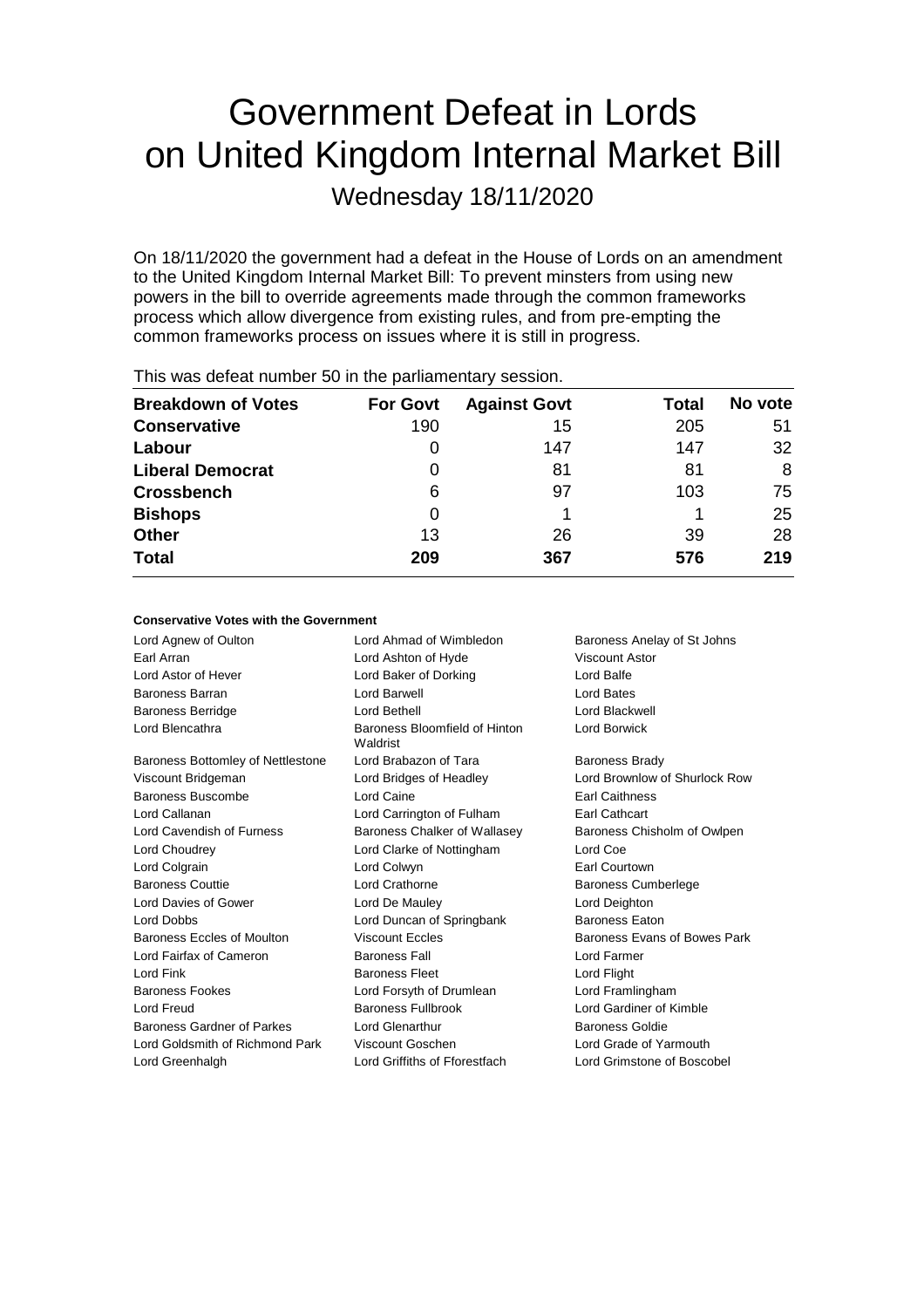# Government Defeat in Lords on United Kingdom Internal Market Bill

Wednesday 18/11/2020

On 18/11/2020 the government had a defeat in the House of Lords on an amendment to the United Kingdom Internal Market Bill: To prevent minsters from using new powers in the bill to override agreements made through the common frameworks process which allow divergence from existing rules, and from pre-empting the common frameworks process on issues where it is still in progress.

| <b>For Govt</b> | <b>Against Govt</b> | Total | No vote |
|-----------------|---------------------|-------|---------|
| 190             | 15                  | 205   | 51      |
| 0               | 147                 | 147   | 32      |
| 0               | 81                  | 81    | 8       |
| 6               | 97                  | 103   | 75      |
| 0               |                     |       | 25      |
| 13              | 26                  | 39    | 28      |
| 209             | 367                 | 576   | 219     |
|                 |                     |       |         |

This was defeat number 50 in the parliamentary session.

### **Conservative Votes with the Government**

Lord Agnew of Oulton **Lord Ahmad of Wimbledon** Baroness Anelay of St Johns Earl Arran Lord Ashton of Hyde Viscount Astor Lord Astor of Hever Lord Baker of Dorking Lord Balfe Baroness Barran Lord Barwell Lord Bates Baroness Berridge Lord Bethell Lord Blackwell Lord Blencathra **Baroness Bloomfield of Hinton** Waldrist Lord Borwick Baroness Bottomley of Nettlestone Lord Brabazon of Tara Baroness Brady Viscount Bridgeman Lord Bridges of Headley Lord Brownlow of Shurlock Row Baroness Buscombe Lord Caine Earl Caithness Lord Callanan Lord Carrington of Fulham Earl Cathcart Lord Cavendish of Furness Baroness Chalker of Wallasey Baroness Chisholm of Owlpen Lord Choudrey Lord Clarke of Nottingham Lord Coe Lord Colgrain Lord Colwyn Earl Courtown Baroness Couttie Lord Crathorne Baroness Cumberlege Lord Davies of Gower Lord De Mauley Lord Deighton Lord Dobbs Lord Duncan of Springbank Baroness Eaton Baroness Eccles of Moulton **Viscount Eccles** Baroness Evans of Bowes Park Lord Fairfax of Cameron Baroness Fall Lord Farmer Lord Fink **Baroness Fleet** Lord Flight **Baroness Fleet** Baroness Fookes Lord Forsyth of Drumlean Lord Framlingham Lord Freud Baroness Fullbrook Lord Gardiner of Kimble Baroness Gardner of Parkes Lord Glenarthur Baroness Goldie Lord Goldsmith of Richmond Park Viscount Goschen Lord Grade of Yarmouth Lord Greenhalgh Lord Griffiths of Fforestfach Lord Grimstone of Boscobel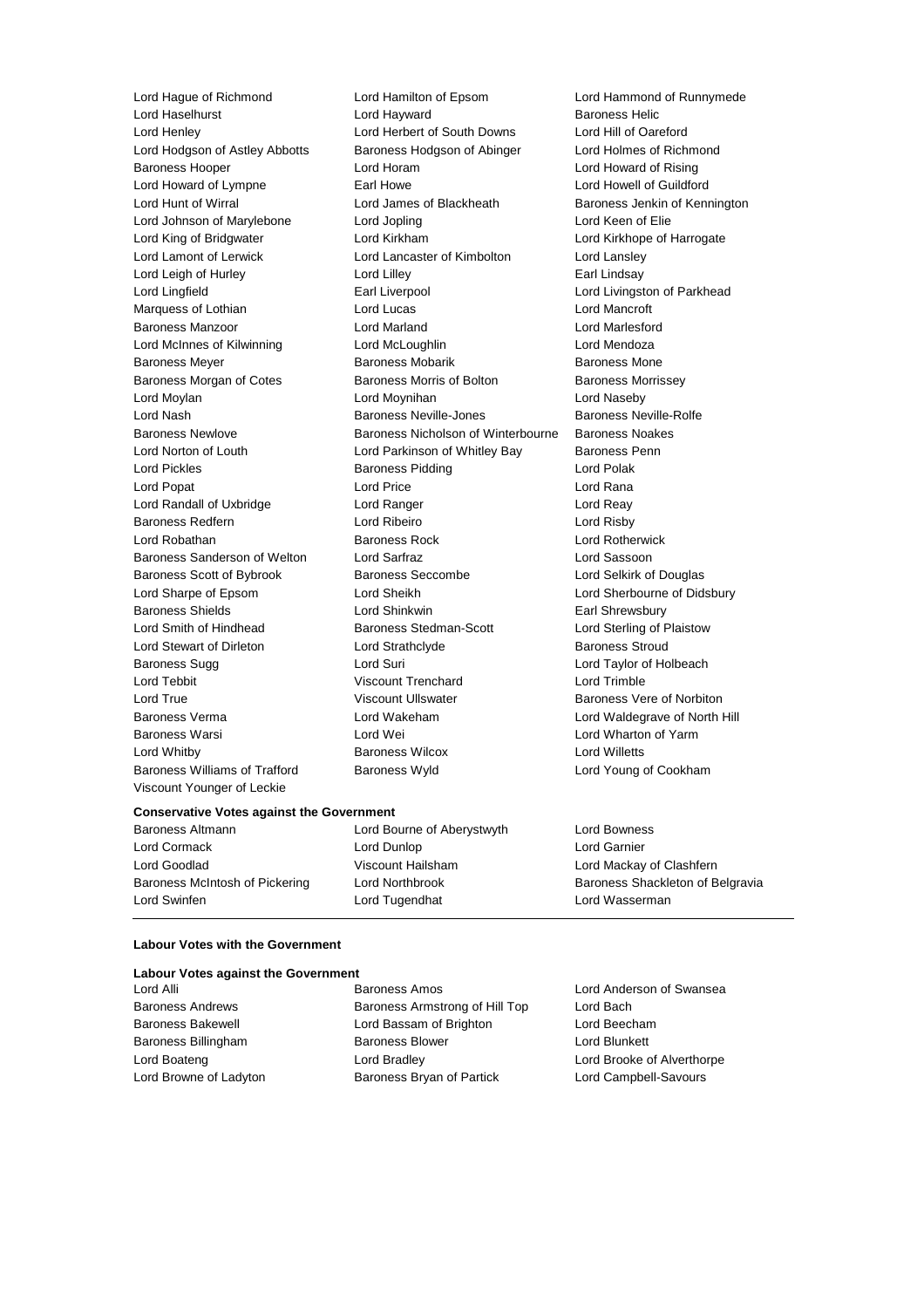Lord Haselhurst **Lord Hayward** Baroness Williams of Trafford Baroness Wyld Lord Young of Cookham Viscount Younger of Leckie

Lord Hague of Richmond Lord Hamilton of Epsom Lord Hammond of Runnymede Lord Henley Lord Herbert of South Downs Lord Hill of Oareford Lord Hodgson of Astley Abbotts Baroness Hodgson of Abinger Lord Holmes of Richmond Baroness Hooper Lord Horam Lord Howard of Rising Lord Howard of Lympne **Earl Howe** Earl Howe **Lord Howell of Guildford** Lord Hunt of Wirral **Lord James of Blackheath** Baroness Jenkin of Kennington Lord Johnson of Marylebone Lord Jopling Lord Keen of Elie Lord King of Bridgwater Lord Kirkham Lord Kirkhope of Harrogate Lord Lamont of Lerwick Lord Lancaster of Kimbolton Lord Lansley Lord Leigh of Hurley **Lord Lilley** Lord Lilley **Earl Lindsay** Lord Lingfield **Earl Liverpool** Earl Liverpool **Lord Livingston of Parkhead** Marquess of Lothian Lord Lucas Lord Mancroft Baroness Manzoor Lord Marland Lord Marlesford Lord McInnes of Kilwinning Lord McLoughlin Lord Mendoza Baroness Meyer Baroness Mobarik Baroness Mone Baroness Morgan of Cotes Baroness Morris of Bolton Baroness Morrissey Lord Moylan Lord Moynihan Lord Naseby Lord Nash Baroness Neville-Jones Baroness Neville-Rolfe Baroness Newlove Baroness Nicholson of Winterbourne Baroness Noakes Lord Norton of Louth Lord Parkinson of Whitley Bay Baroness Penn Lord Pickles **Baroness Pidding** Lord Polak Lord Popat **Lord Price Lord Price Lord Rana** Lord Randall of Uxbridge Lord Ranger Lord Reay Baroness Redfern Lord Ribeiro Lord Risby Lord Robathan Baroness Rock Lord Rotherwick Baroness Sanderson of Welton Lord Sarfraz Lord Sassoon Baroness Scott of Bybrook Baroness Seccombe Lord Selkirk of Douglas Lord Sharpe of Epsom Lord Sheikh Lord Sherbourne of Didsbury Baroness Shields **Lord Shinkwin** Earl Shrewsbury Lord Smith of Hindhead Baroness Stedman-Scott Lord Sterling of Plaistow Lord Stewart of Dirleton Lord Strathclyde Baroness Stroud<br>
Baroness Sugg Baroness Sugg Lord Suri Lord Suri Lord Taylor of Ho Lord Suri **Lord Suri Lord Taylor of Holbeach** Lord Tebbit Viscount Trenchard Lord Trimble Lord True **Constant Constant Ullians** Viscount Ullswater **Baroness Vere of Norbiton** Baroness Verma Lord Wakeham Lord Waldegrave of North Hill Baroness Warsi Lord Wei Lord Wharton of Yarm Lord Whitby Baroness Wilcox Lord Willetts

#### **Conservative Votes against the Government**

Lord Cormack Lord Dunlop Lord Garnier Lord Goodlad Viscount Hailsham Lord Mackay of Clashfern Lord Swinfen Lord Tugendhat Lord Wasserman

Baroness Altmann Lord Bourne of Aberystwyth Lord Bowness

Baroness McIntosh of Pickering Lord Northbrook Baroness Shackleton of Belgravia

### **Labour Votes with the Government**

| <b>Labour Votes against the Government</b> |                                |                            |
|--------------------------------------------|--------------------------------|----------------------------|
| Lord Alli                                  | <b>Baroness Amos</b>           | Lord Anderson of Swansea   |
| <b>Baroness Andrews</b>                    | Baroness Armstrong of Hill Top | Lord Bach                  |
| <b>Baroness Bakewell</b>                   | Lord Bassam of Brighton        | Lord Beecham               |
| Baroness Billingham                        | <b>Baroness Blower</b>         | Lord Blunkett              |
| Lord Boateng                               | Lord Bradley                   | Lord Brooke of Alverthorpe |
| Lord Browne of Ladyton                     | Baroness Bryan of Partick      | Lord Campbell-Savours      |
|                                            |                                |                            |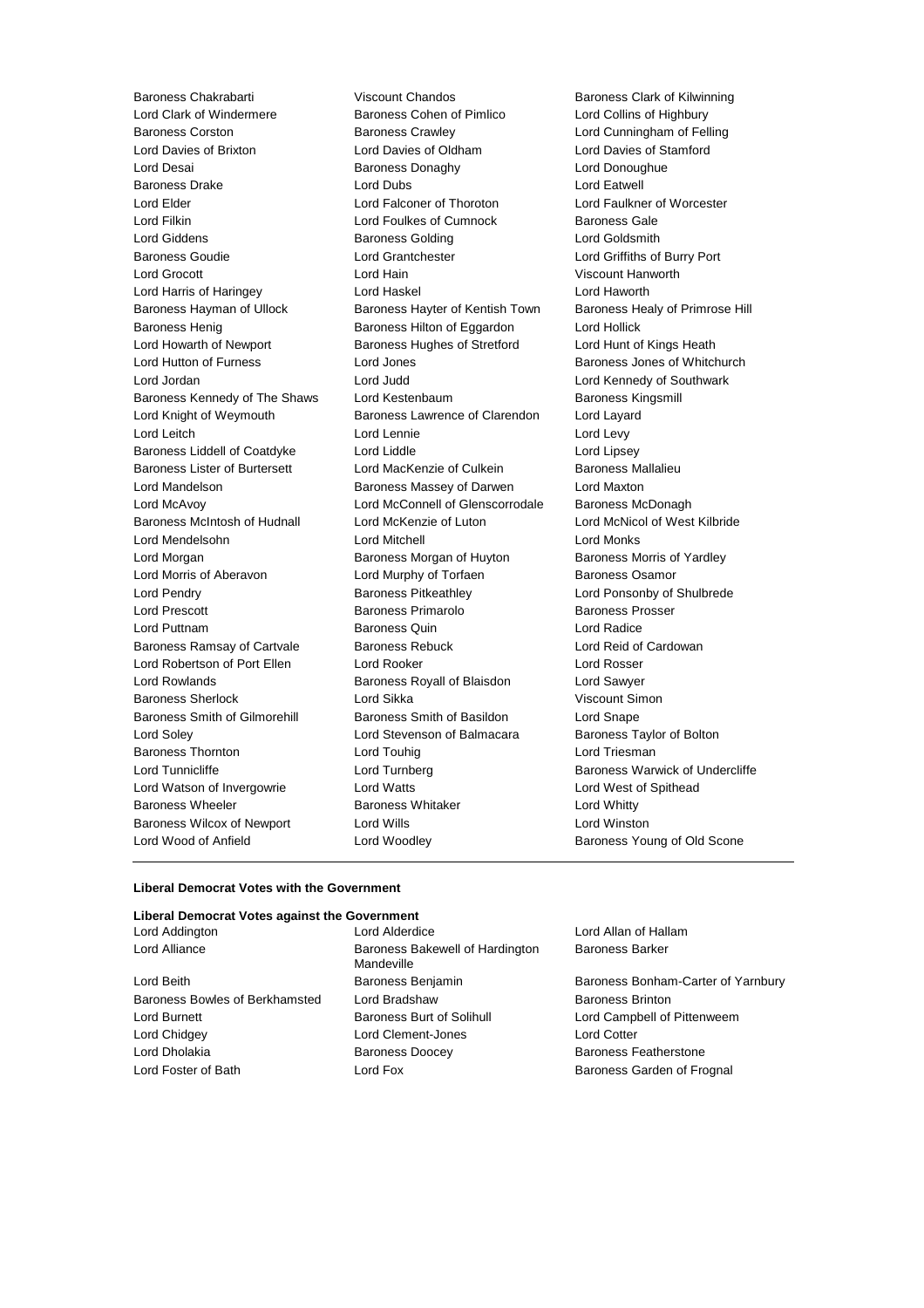Baroness Chakrabarti **Viscount Chandos** Baroness Clark of Kilwinning<br>
Lord Clark of Windermere Baroness Cohen of Pimlico Lord Collins of Highbury Baroness Corston Baroness Crawley Lord Cunningham of Felling Lord Davies of Brixton Lord Davies of Oldham Lord Davies of Stamford Lord Desai **Baroness Donaghy** Lord Donoughue Baroness Drake Lord Dubs Lord Dubs Lord Eatwell Lord Elder Lord Falconer of Thoroton Lord Faulkner of Worcester Lord Giddens Baroness Golding Lord Goldsmith Baroness Goudie Lord Grantchester Lord Griffiths of Burry Port Lord Grocott Lord Hain Viscount Hanworth Lord Harris of Haringey Lord Haskel Lord Haworth Baroness Hayman of Ullock Baroness Hayter of Kentish Town Baroness Healy of Primrose Hill Baroness Henig **Baroness Hilton of Eggardon** Lord Hollick Lord Howarth of Newport Baroness Hughes of Stretford Lord Hunt of Kings Heath Lord Hutton of Furness **Lord Jones** Lord Jones Baroness Jones of Whitchurch Lord Jordan Lord Judd Lord Kennedy of Southwark Baroness Kennedy of The Shaws Lord Kestenbaum **Baroness Kingsmill** Lord Knight of Weymouth **Baroness Lawrence of Clarendon** Lord Layard Lord Leitch **Lord Lennie** Lord Lennie **Lord Levy** Baroness Liddell of Coatdyke Lord Liddle Lord Lipsey Baroness Lister of Burtersett Lord MacKenzie of Culkein Baroness Mallalieu Lord Mandelson Baroness Massey of Darwen Lord Maxton Lord McAvoy Lord McConnell of Glenscorrodale Baroness McDonagh Baroness McIntosh of Hudnall Lord McKenzie of Luton Lord McNicol of West Kilbride Lord Mendelsohn Lord Mitchell Lord Monks Lord Morgan **Baroness Morgan of Huyton** Baroness Morris of Yardley Lord Morris of Aberavon **Lord Murphy of Torfaen** Baroness Osamor Lord Pendry **Baroness Pitkeathley Baroness Pitkeathley Lord Ponsonby of Shulbrede** Lord Prescott **Baroness Primarolo** Baroness Prosser Lord Puttnam Baroness Quin Lord Radice Baroness Ramsay of Cartvale Baroness Rebuck Lord Reid of Cardowan Lord Robertson of Port Ellen Lord Rooker Lord Rosser Lord Rowlands **Baroness Royall of Blaisdon** Lord Sawyer Baroness Sherlock Lord Sikka Viscount Simon Baroness Smith of Gilmorehill Baroness Smith of Basildon Lord Snape Lord Soley Lord Stevenson of Balmacara Baroness Taylor of Bolton Baroness Thornton **Lord Touhig Lord Triesman** Lord Triesman Lord Tunnicliffe **Lord Turnberg** Baroness Warwick of Undercliffe Lord Watson of Invergowrie Lord Watts Lord West of Spithead Baroness Wheeler **Baroness Whitaker Baroness Whitaker** Lord Whitty Baroness Wilcox of Newport Lord Wills Lord Winston Lord Wood of Anfield **Lord Woodley Baroness Young of Old Scone** 

Baroness Cohen of Pimlico Lord Collins of Highbury Lord Foulkes of Cumnock Baroness Gale

#### **Liberal Democrat Votes with the Government**

| Liberal Democrat Votes against the Government |
|-----------------------------------------------|
| Lord Alderdice                                |
| Baroness Bakewell of Hardington<br>Mandeville |
| Baroness Benjamin                             |
| Lord Bradshaw                                 |
| Baroness Burt of Solihull                     |
| Lord Clement-Jones                            |
| <b>Baroness Doocey</b>                        |
| Lord Fox                                      |
|                                               |

Lord Allan of Hallam Baroness Barker

Baroness Bonham-Carter of Yarnbury Baroness Brinton Lord Campbell of Pittenweem Lord Cotter Baroness Featherstone Baroness Garden of Frognal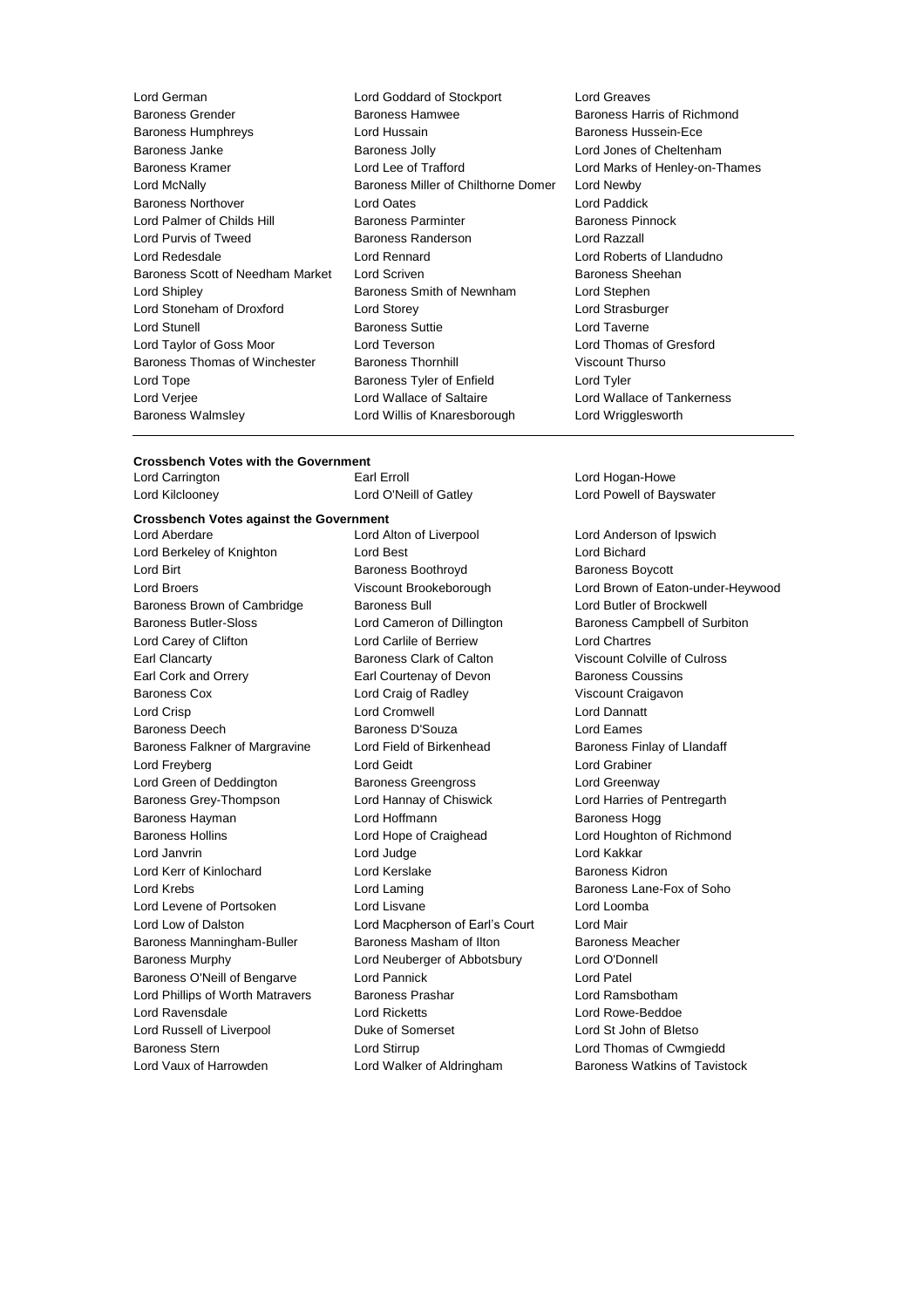| Lord German                      | Lord Goddard of Stockport           | Lord Greaves             |
|----------------------------------|-------------------------------------|--------------------------|
| <b>Baroness Grender</b>          | <b>Baroness Hamwee</b>              | Baroness Harris of       |
| <b>Baroness Humphreys</b>        | Lord Hussain                        | <b>Baroness Hussein-</b> |
| Baroness Janke                   | <b>Baroness Jolly</b>               | Lord Jones of Chel       |
| <b>Baroness Kramer</b>           | Lord Lee of Trafford                | Lord Marks of Hen        |
| Lord McNally                     | Baroness Miller of Chilthorne Domer | Lord Newby               |
| <b>Baroness Northover</b>        | Lord Oates                          | Lord Paddick             |
| Lord Palmer of Childs Hill       | <b>Baroness Parminter</b>           | Baroness Pinnock         |
| Lord Purvis of Tweed             | Baroness Randerson                  | Lord Razzall             |
| Lord Redesdale                   | Lord Rennard                        | Lord Roberts of Lia      |
| Baroness Scott of Needham Market | Lord Scriven                        | <b>Baroness Sheehar</b>  |
| Lord Shipley                     | Baroness Smith of Newnham           | Lord Stephen             |
| Lord Stoneham of Droxford        | Lord Storey                         | Lord Strasburger         |
| Lord Stunell                     | <b>Baroness Suttie</b>              | Lord Taverne             |
| Lord Taylor of Goss Moor         | Lord Teverson                       | Lord Thomas of Gr        |
| Baroness Thomas of Winchester    | <b>Baroness Thornhill</b>           | <b>Viscount Thurso</b>   |
| Lord Tope                        | Baroness Tyler of Enfield           | Lord Tyler               |
| Lord Verjee                      | Lord Wallace of Saltaire            | Lord Wallace of Ta       |
| <b>Baroness Walmsley</b>         | Lord Willis of Knaresborough        | Lord Wrigglesworth       |
|                                  |                                     |                          |

- d Goddard of Stockport Lord Greaves oness Hamwee **Baroness Harris of Richmond** d Hussain **Baroness Hussein-Ece** and Baroness Jolly **Baroness Jolly** Lord Jones of Cheltenham oness Miller of Chilthorne Domer Lord Newby d Oates **North Lord Paddick** oness Randerson **Lord Razzall** d Rennard **Lord Roberts of Llandudno** d Scriven **Market Lord Scriven** Baroness Sheehan oness Smith of Newnham Lord Stephen d Storey **Lord Strasburger Coness Suttie Lord Taverne** d Teverson **Company** Lord Thomas of Gresford oness Thornhill **Exercise State Baroness Thornhill** Viscount Thurso oness Tyler of Enfield **Lord Tyler** d Wallace of Saltaire **Lord Wallace of Tankerness** d Willis of Knaresborough Lord Wrigglesworth
	- d Lee of Trafford **Example 20** Lord Marks of Henley-on-Thames

### **Crossbench Votes with the Government**

| Lord Carrington |  |
|-----------------|--|
| Lord Kilcloonev |  |

## **Crossbench Votes against the Government**

Lord Berkeley of Knighton **Lord Best** Lord Bichard Lord Bichard Lord Birt **Baroness Boothroyd** Baroness Boothroyd Baroness Boycott Baroness Brown of Cambridge Baroness Bull **Baroness Bull** Lord Butler of Brockwell Baroness Butler-Sloss Lord Cameron of Dillington Baroness Campbell of Surbiton Lord Carey of Clifton Lord Carlile of Berriew Lord Chartres Earl Clancarty Baroness Clark of Calton Viscount Colville of Culross Earl Cork and Orrery Earl Courtenay of Devon Baroness Coussins Baroness Cox Lord Craig of Radley Viscount Craigavon Lord Crisp Lord Cromwell Lord Dannatt Baroness Deech Baroness D'Souza Lord Eames Baroness Falkner of Margravine Lord Field of Birkenhead Baroness Finlay of Llandaff Lord Freyberg Lord Geidt Lord Grabiner Lord Green of Deddington Baroness Greengross Lord Greenway Baroness Grey-Thompson Lord Hannay of Chiswick Lord Harries of Pentregarth Baroness Hayman **Baroness Hogg** Lord Hoffmann **Baroness Hogg** Baroness Hogg Baroness Hollins Lord Hope of Craighead Lord Houghton of Richmond Lord Janvrin Lord Judge Lord Kakkar Lord Kerr of Kinlochard Lord Kerslake Baroness Kidron Lord Krebs **Lord Lord Laming Lord Laming** Baroness Lane-Fox of Soho Lord Levene of Portsoken Lord Lisvane Lord Loomba Lord Low of Dalston Lord Macpherson of Earl's Court Lord Mair Baroness Manningham-Buller Baroness Masham of Ilton Baroness Meacher Baroness Murphy Lord Neuberger of Abbotsbury Lord O'Donnell Baroness O'Neill of Bengarve Lord Pannick Lord Patel Lord Phillips of Worth Matravers Baroness Prashar Lord Ramsbotham Lord Ravensdale Lord Ricketts Lord Rowe-Beddoe Lord Russell of Liverpool **Duke of Somerset** Lord St John of Bletso Baroness Stern Lord Stirrup Lord Thomas of Cwmgiedd Lord Vaux of Harrowden **Lord Walker of Aldringham** Baroness Watkins of Tavistock

Lord Aberdare Lord Alton of Liverpool Lord Anderson of Ipswich

Lord Hogan-Howe ey **Lord C'Neill of Gatley Constant Constant Constant Constant Constant Constant Constant Constant Constant Constant Constant Constant Constant Constant Constant Constant Constant Constant Constant Constant Constant Consta** 

Lord Broers Viscount Brookeborough Lord Brown of Eaton-under-Heywood